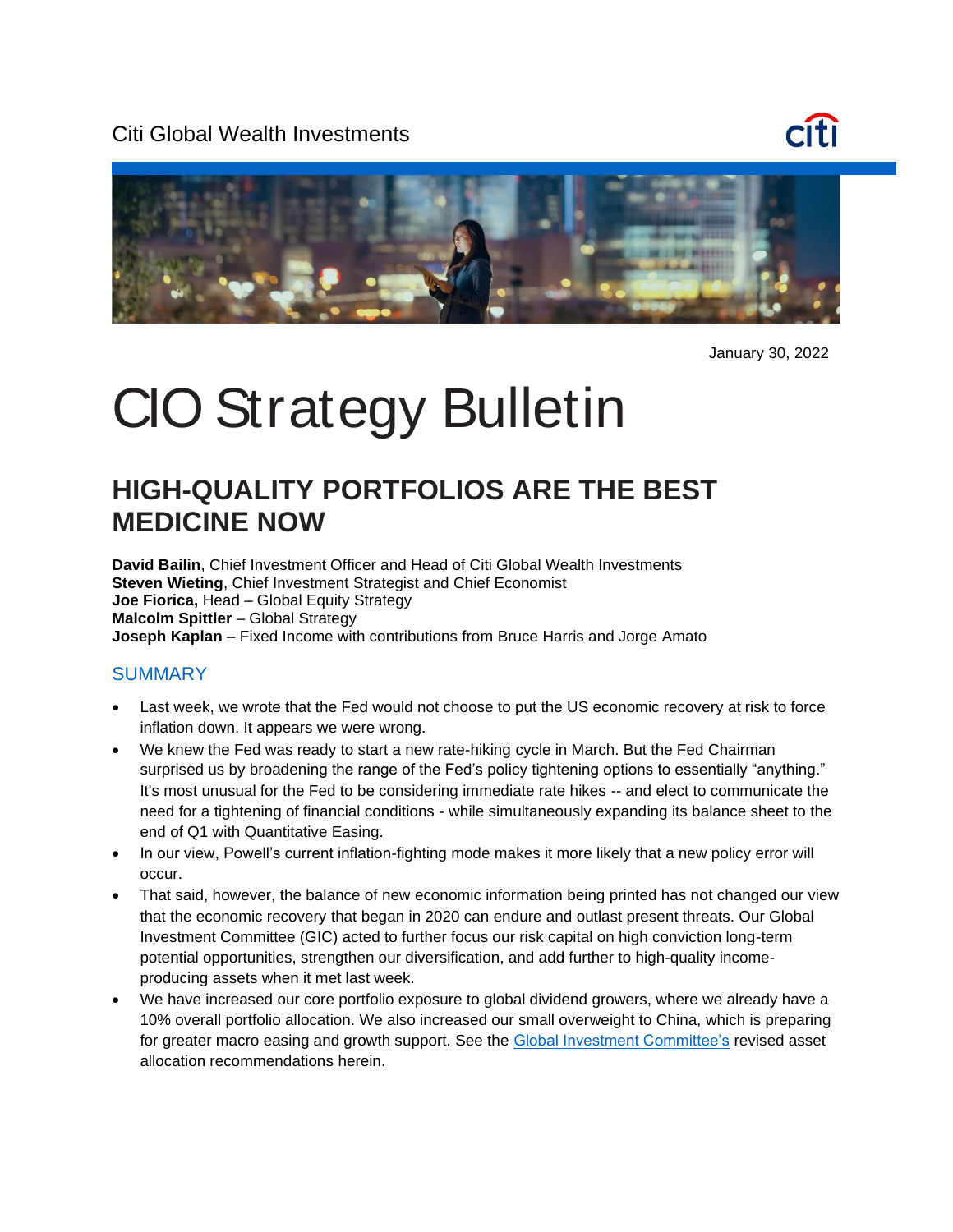Citi Global Wealth Investments





January 30, 2022

# CIO Strategy Bulletin

# **HIGH-QUALITY PORTFOLIOS ARE THE BEST MEDICINE NOW**

**David Bailin**, Chief Investment Officer and Head of Citi Global Wealth Investments **Steven Wieting**, Chief Investment Strategist and Chief Economist **Joe Fiorica,** Head – Global Equity Strategy **Malcolm Spittler** – Global Strategy **Joseph Kaplan** – Fixed Income with contributions from Bruce Harris and Jorge Amato

#### **SUMMARY**

- Last week, we wrote that the Fed would not choose to put the US economic recovery at risk to force inflation down. It appears we were wrong.
- We knew the Fed was ready to start a new rate-hiking cycle in March. But the Fed Chairman surprised us by broadening the range of the Fed's policy tightening options to essentially "anything." It's most unusual for the Fed to be considering immediate rate hikes -- and elect to communicate the need for a tightening of financial conditions - while simultaneously expanding its balance sheet to the end of Q1 with Quantitative Easing.
- In our view, Powell's current inflation-fighting mode makes it more likely that a new policy error will occur.
- That said, however, the balance of new economic information being printed has not changed our view that the economic recovery that began in 2020 can endure and outlast present threats. Our Global Investment Committee (GIC) acted to further focus our risk capital on high conviction long-term potential opportunities, strengthen our diversification, and add further to high-quality incomeproducing assets when it met last week.
- We have increased our core portfolio exposure to global dividend growers, where we already have a 10% overall portfolio allocation. We also increased our small overweight to China, which is preparing for greater macro easing and growth support. See the [Global Investment Committee's](https://www.privatebank.citibank.com/ivc/docs/quadrant/Quadrant_January2022.pdf) revised asset allocation recommendations herein.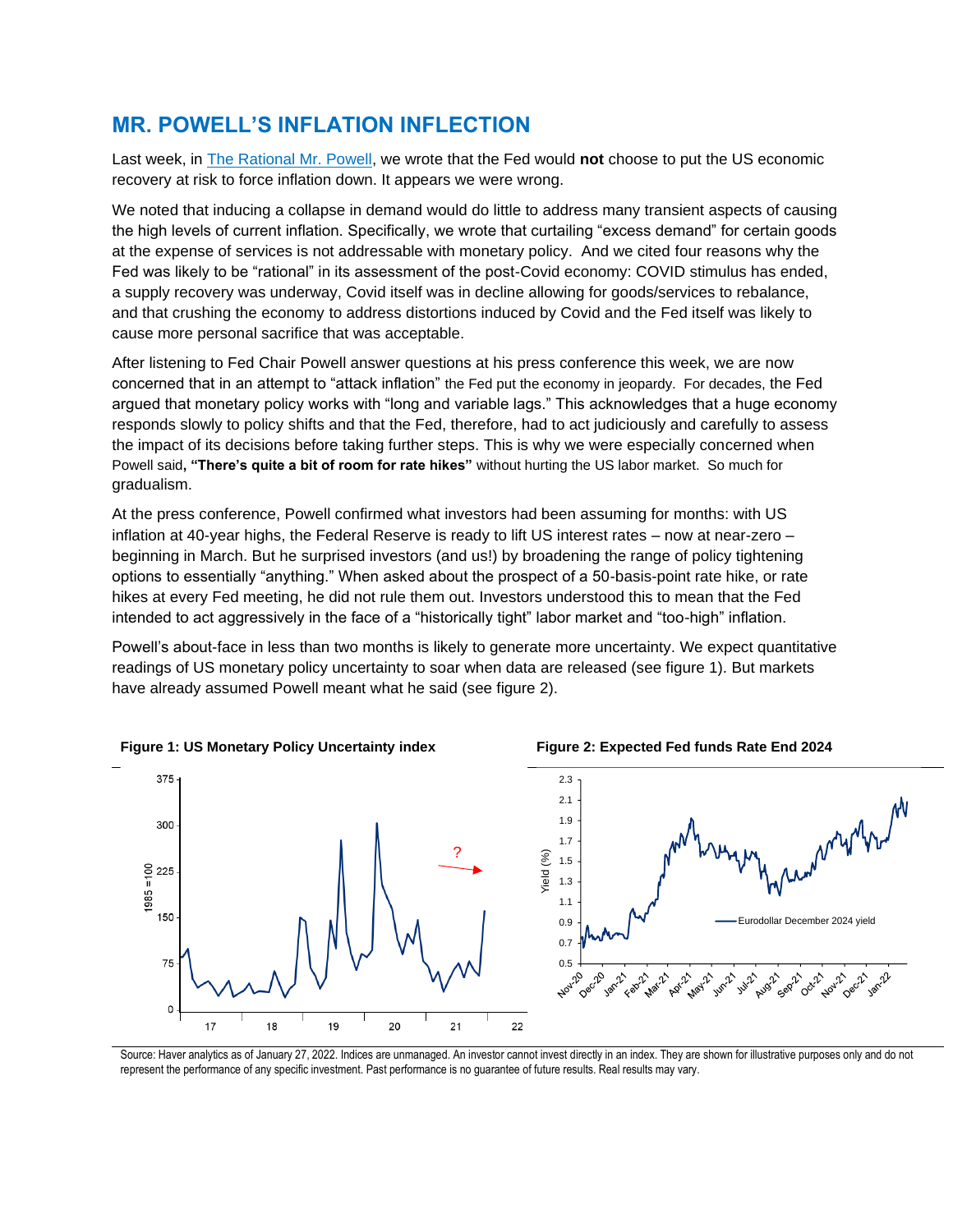### **MR. POWELL'S INFLATION INFLECTION**

Last week, in The Rational Mr. Powell, we wrote that the Fed would **not** choose to put the US economic recovery at risk to force inflation down. It appears we were wrong.

We noted that inducing a collapse in demand would do little to address many transient aspects of causing the high levels of current inflation. Specifically, we wrote that curtailing "excess demand" for certain goods at the expense of services is not addressable with monetary policy. And we cited four reasons why the Fed was likely to be "rational" in its assessment of the post-Covid economy: COVID stimulus has ended, a supply recovery was underway, Covid itself was in decline allowing for goods/services to rebalance, and that crushing the economy to address distortions induced by Covid and the Fed itself was likely to cause more personal sacrifice that was acceptable.

After listening to Fed Chair Powell answer questions at his press conference this week, we are now concerned that in an attempt to "attack inflation" the Fed put the economy in jeopardy. For decades, the Fed argued that monetary policy works with "long and variable lags." This acknowledges that a huge economy responds slowly to policy shifts and that the Fed, therefore, had to act judiciously and carefully to assess the impact of its decisions before taking further steps. This is why we were especially concerned when Powell said**, "There's quite a bit of room for rate hikes"** without hurting the US labor market. So much for gradualism.

At the press conference, Powell confirmed what investors had been assuming for months: with US inflation at 40-year highs, the Federal Reserve is ready to lift US interest rates – now at near-zero – beginning in March. But he surprised investors (and us!) by broadening the range of policy tightening options to essentially "anything." When asked about the prospect of a 50-basis-point rate hike, or rate hikes at every Fed meeting, he did not rule them out. Investors understood this to mean that the Fed intended to act aggressively in the face of a "historically tight" labor market and "too-high" inflation.

Powell's about-face in less than two months is likely to generate more uncertainty. We expect quantitative readings of US monetary policy uncertainty to soar when data are released (see figure 1). But markets have already assumed Powell meant what he said (see figure 2).



**Figure 1: US Monetary Policy Uncertainty index Figure 2: Expected Fed funds Rate End 2024**

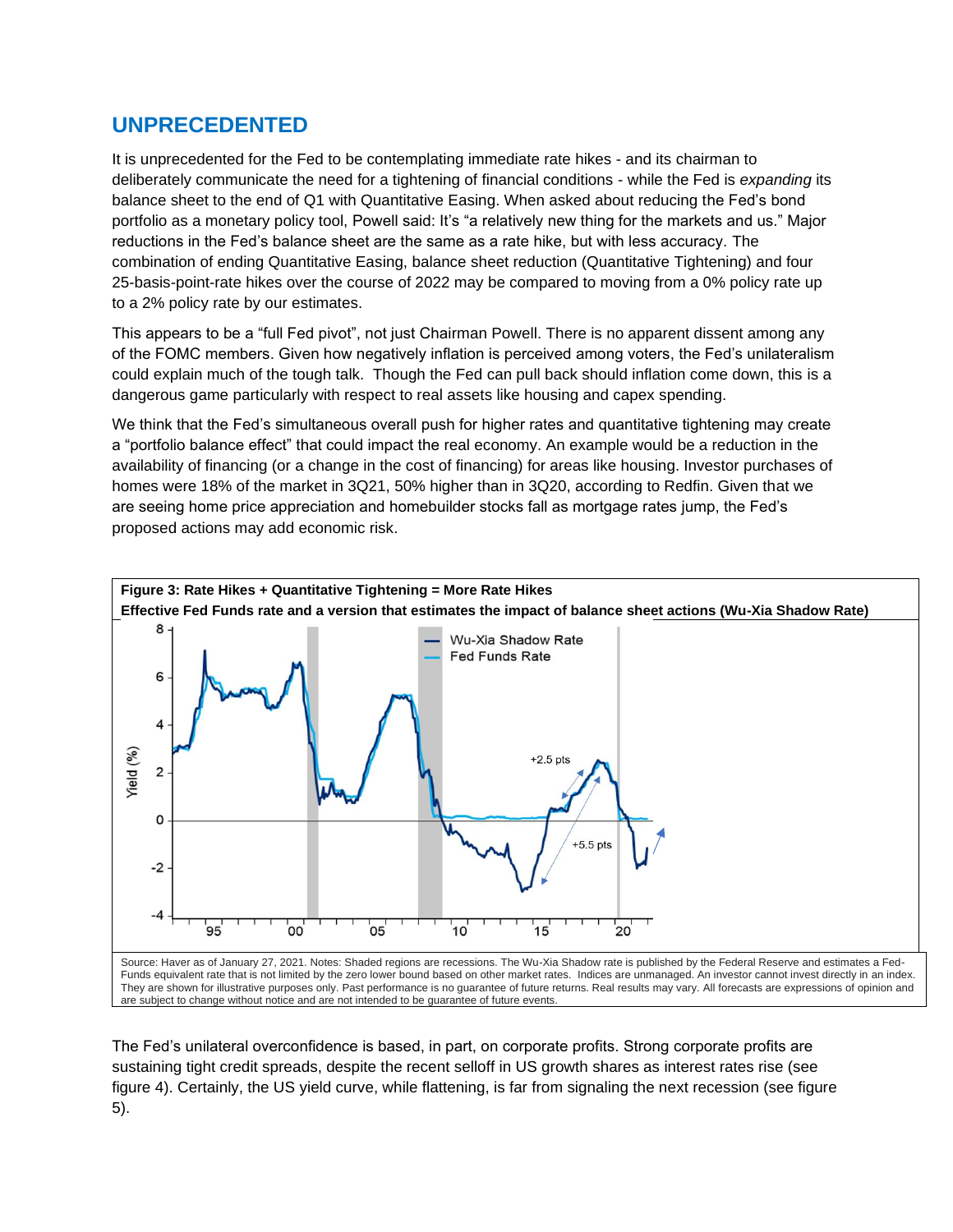### **UNPRECEDENTED**

It is unprecedented for the Fed to be contemplating immediate rate hikes - and its chairman to deliberately communicate the need for a tightening of financial conditions - while the Fed is *expanding* its balance sheet to the end of Q1 with Quantitative Easing. When asked about reducing the Fed's bond portfolio as a monetary policy tool, Powell said: It's "a relatively new thing for the markets and us." Major reductions in the Fed's balance sheet are the same as a rate hike, but with less accuracy. The combination of ending Quantitative Easing, balance sheet reduction (Quantitative Tightening) and four 25-basis-point-rate hikes over the course of 2022 may be compared to moving from a 0% policy rate up to a 2% policy rate by our estimates.

This appears to be a "full Fed pivot", not just Chairman Powell. There is no apparent dissent among any of the FOMC members. Given how negatively inflation is perceived among voters, the Fed's unilateralism could explain much of the tough talk. Though the Fed can pull back should inflation come down, this is a dangerous game particularly with respect to real assets like housing and capex spending.

We think that the Fed's simultaneous overall push for higher rates and quantitative tightening may create a "portfolio balance effect" that could impact the real economy. An example would be a reduction in the availability of financing (or a change in the cost of financing) for areas like housing. Investor purchases of homes were 18% of the market in 3Q21, 50% higher than in 3Q20, according to Redfin. Given that we are seeing home price appreciation and homebuilder stocks fall as mortgage rates jump, the Fed's proposed actions may add economic risk.



The Fed's unilateral overconfidence is based, in part, on corporate profits. Strong corporate profits are sustaining tight credit spreads, despite the recent selloff in US growth shares as interest rates rise (see figure 4). Certainly, the US yield curve, while flattening, is far from signaling the next recession (see figure 5).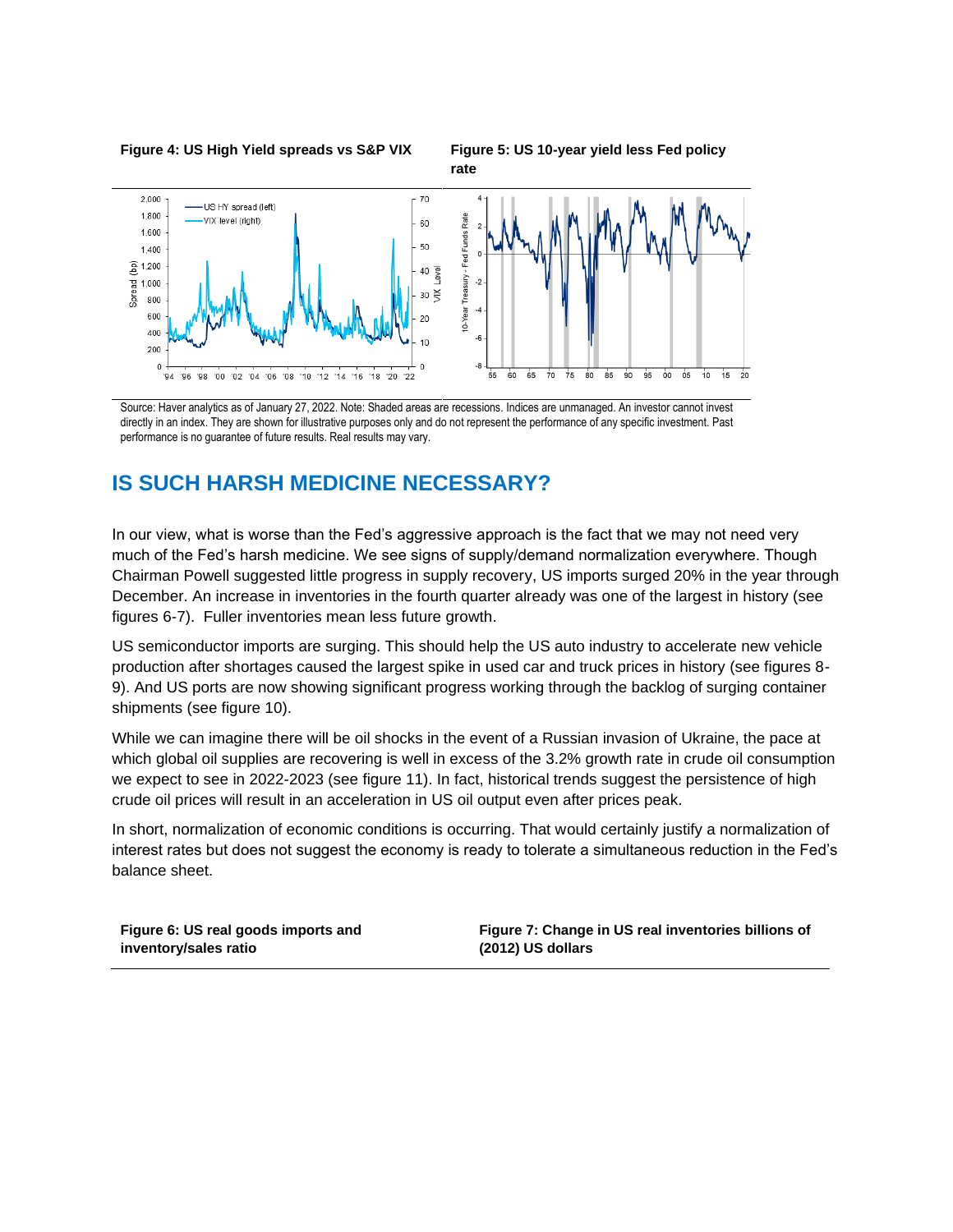**Figure 4: US High Yield spreads vs S&P VIX Figure 5: US 10-year yield less Fed policy** 

**rate**



Source: Haver analytics as of January 27, 2022. Note: Shaded areas are recessions. Indices are unmanaged. An investor cannot invest directly in an index. They are shown for illustrative purposes only and do not represent the performance of any specific investment. Past performance is no guarantee of future results. Real results may vary.

### **IS SUCH HARSH MEDICINE NECESSARY?**

In our view, what is worse than the Fed's aggressive approach is the fact that we may not need very much of the Fed's harsh medicine. We see signs of supply/demand normalization everywhere. Though Chairman Powell suggested little progress in supply recovery, US imports surged 20% in the year through December. An increase in inventories in the fourth quarter already was one of the largest in history (see figures 6-7). Fuller inventories mean less future growth.

US semiconductor imports are surging. This should help the US auto industry to accelerate new vehicle production after shortages caused the largest spike in used car and truck prices in history (see figures 8- 9). And US ports are now showing significant progress working through the backlog of surging container shipments (see figure 10).

While we can imagine there will be oil shocks in the event of a Russian invasion of Ukraine, the pace at which global oil supplies are recovering is well in excess of the 3.2% growth rate in crude oil consumption we expect to see in 2022-2023 (see figure 11). In fact, historical trends suggest the persistence of high crude oil prices will result in an acceleration in US oil output even after prices peak.

In short, normalization of economic conditions is occurring. That would certainly justify a normalization of interest rates but does not suggest the economy is ready to tolerate a simultaneous reduction in the Fed's balance sheet.

**Figure 6: US real goods imports and inventory/sales ratio**

**Figure 7: Change in US real inventories billions of (2012) US dollars**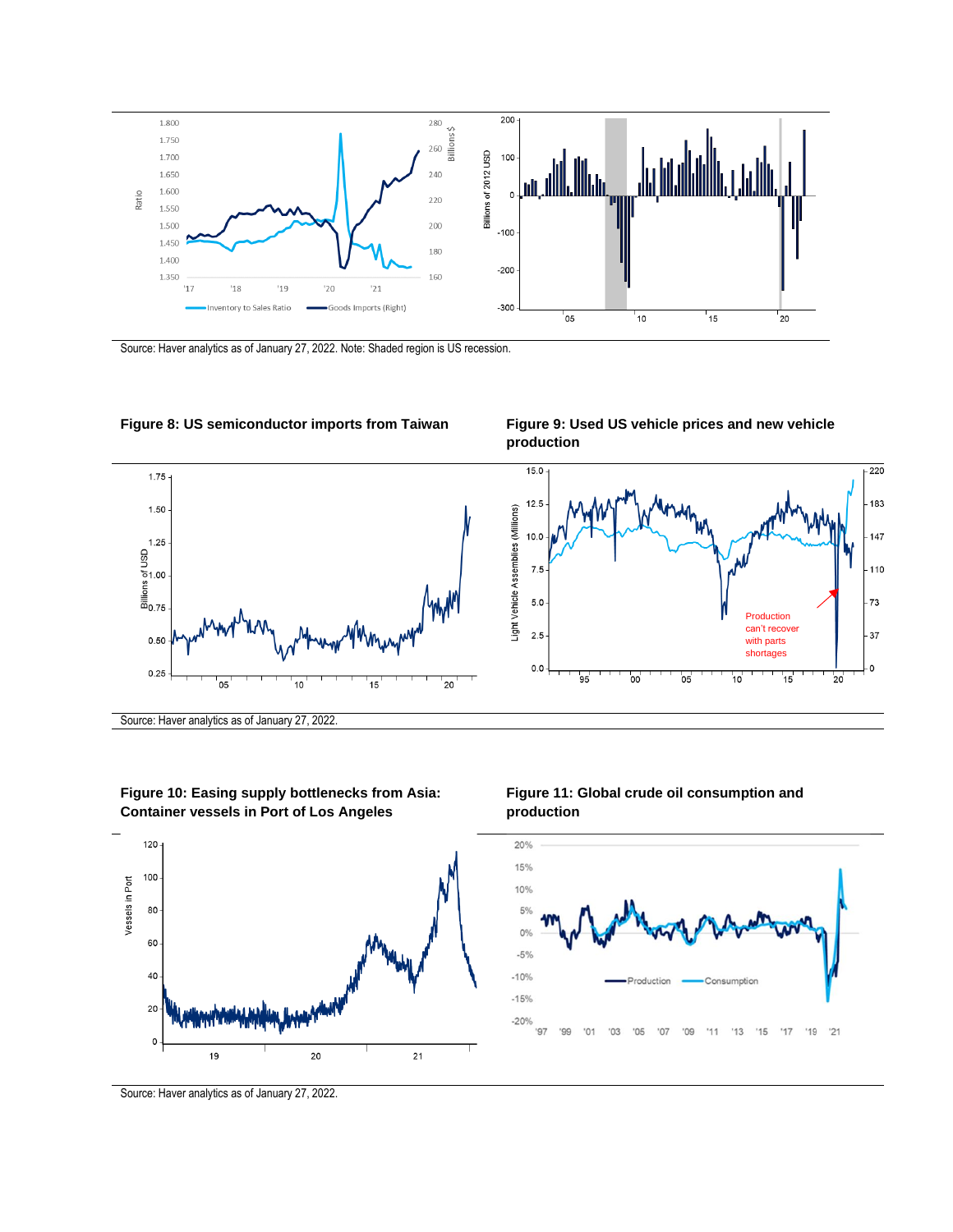

Source: Haver analytics as of January 27, 2022. Note: Shaded region is US recession.



**Figure 10: Easing supply bottlenecks from Asia: Container vessels in Port of Los Angeles**







Source: Haver analytics as of January 27, 2022.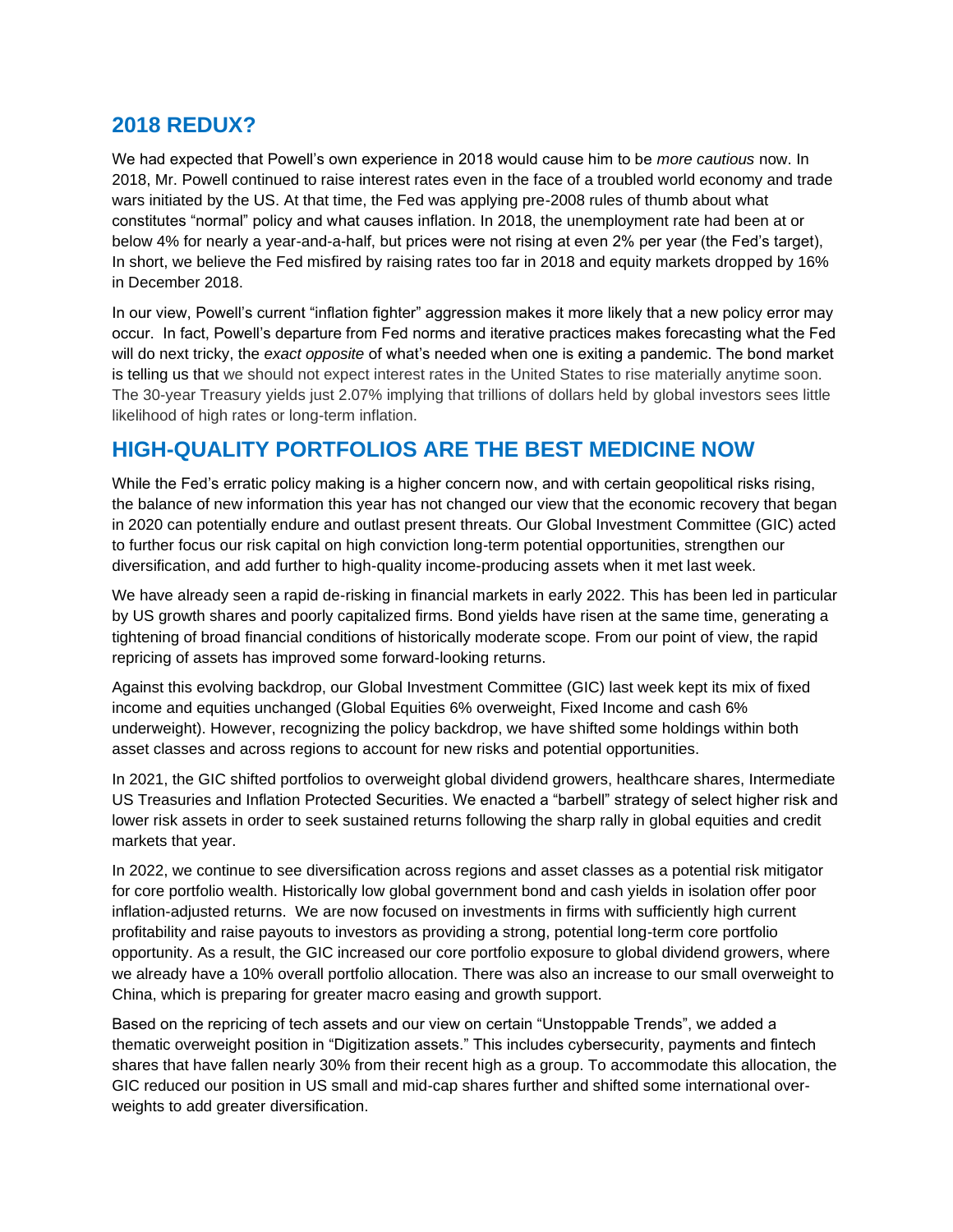#### **2018 REDUX?**

We had expected that Powell's own experience in 2018 would cause him to be *more cautious* now. In 2018, Mr. Powell continued to raise interest rates even in the face of a troubled world economy and trade wars initiated by the US. At that time, the Fed was applying pre-2008 rules of thumb about what constitutes "normal" policy and what causes inflation. In 2018, the unemployment rate had been at or below 4% for nearly a year-and-a-half, but prices were not rising at even 2% per year (the Fed's target), In short, we believe the Fed misfired by raising rates too far in 2018 and equity markets dropped by 16% in December 2018.

In our view, Powell's current "inflation fighter" aggression makes it more likely that a new policy error may occur. In fact, Powell's departure from Fed norms and iterative practices makes forecasting what the Fed will do next tricky, the *exact opposite* of what's needed when one is exiting a pandemic. The bond market is telling us that we should not expect interest rates in the United States to rise materially anytime soon. The 30-year Treasury yields just 2.07% implying that trillions of dollars held by global investors sees little likelihood of high rates or long-term inflation.

## **HIGH-QUALITY PORTFOLIOS ARE THE BEST MEDICINE NOW**

While the Fed's erratic policy making is a higher concern now, and with certain geopolitical risks rising, the balance of new information this year has not changed our view that the economic recovery that began in 2020 can potentially endure and outlast present threats. Our Global Investment Committee (GIC) acted to further focus our risk capital on high conviction long-term potential opportunities, strengthen our diversification, and add further to high-quality income-producing assets when it met last week.

We have already seen a rapid de-risking in financial markets in early 2022. This has been led in particular by US growth shares and poorly capitalized firms. Bond yields have risen at the same time, generating a tightening of broad financial conditions of historically moderate scope. From our point of view, the rapid repricing of assets has improved some forward-looking returns.

Against this evolving backdrop, our Global Investment Committee (GIC) last week kept its mix of fixed income and equities unchanged (Global Equities 6% overweight, Fixed Income and cash 6% underweight). However, recognizing the policy backdrop, we have shifted some holdings within both asset classes and across regions to account for new risks and potential opportunities.

In 2021, the GIC shifted portfolios to overweight global dividend growers, healthcare shares, Intermediate US Treasuries and Inflation Protected Securities. We enacted a "barbell" strategy of select higher risk and lower risk assets in order to seek sustained returns following the sharp rally in global equities and credit markets that year.

In 2022, we continue to see diversification across regions and asset classes as a potential risk mitigator for core portfolio wealth. Historically low global government bond and cash yields in isolation offer poor inflation-adjusted returns. We are now focused on investments in firms with sufficiently high current profitability and raise payouts to investors as providing a strong, potential long-term core portfolio opportunity. As a result, the GIC increased our core portfolio exposure to global dividend growers, where we already have a 10% overall portfolio allocation. There was also an increase to our small overweight to China, which is preparing for greater macro easing and growth support.

Based on the repricing of tech assets and our view on certain "Unstoppable Trends", we added a thematic overweight position in "Digitization assets." This includes cybersecurity, payments and fintech shares that have fallen nearly 30% from their recent high as a group. To accommodate this allocation, the GIC reduced our position in US small and mid-cap shares further and shifted some international overweights to add greater diversification.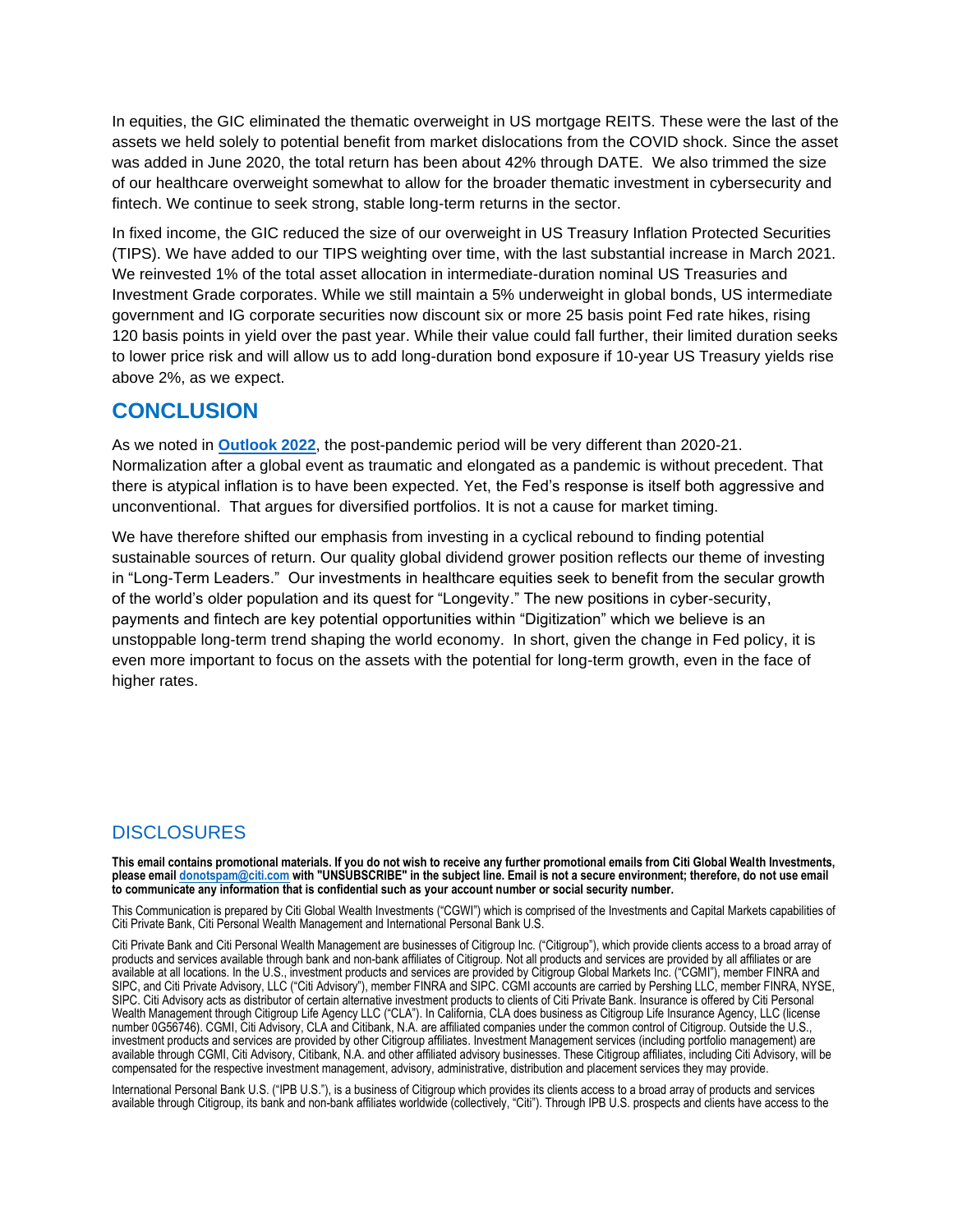In equities, the GIC eliminated the thematic overweight in US mortgage REITS. These were the last of the assets we held solely to potential benefit from market dislocations from the COVID shock. Since the asset was added in June 2020, the total return has been about 42% through DATE. We also trimmed the size of our healthcare overweight somewhat to allow for the broader thematic investment in cybersecurity and fintech. We continue to seek strong, stable long-term returns in the sector.

In fixed income, the GIC reduced the size of our overweight in US Treasury Inflation Protected Securities (TIPS). We have added to our TIPS weighting over time, with the last substantial increase in March 2021. We reinvested 1% of the total asset allocation in intermediate-duration nominal US Treasuries and Investment Grade corporates. While we still maintain a 5% underweight in global bonds, US intermediate government and IG corporate securities now discount six or more 25 basis point Fed rate hikes, rising 120 basis points in yield over the past year. While their value could fall further, their limited duration seeks to lower price risk and will allow us to add long-duration bond exposure if 10-year US Treasury yields rise above 2%, as we expect.

#### **CONCLUSION**

As we noted in **[Outlook 2022](https://www.privatebank.citibank.com/newcpb-media/media/documents/outlook/Outlook-2022-Citi-Global-Wealth-Investments.pdf?utm_source=cpb_internal&utm_medium=intranet&utm_campaign=ol22)**, the post-pandemic period will be very different than 2020-21. Normalization after a global event as traumatic and elongated as a pandemic is without precedent. That there is atypical inflation is to have been expected. Yet, the Fed's response is itself both aggressive and unconventional. That argues for diversified portfolios. It is not a cause for market timing.

We have therefore shifted our emphasis from investing in a cyclical rebound to finding potential sustainable sources of return. Our quality global dividend grower position reflects our theme of investing in "Long-Term Leaders." Our investments in healthcare equities seek to benefit from the secular growth of the world's older population and its quest for "Longevity." The new positions in cyber-security, payments and fintech are key potential opportunities within "Digitization" which we believe is an unstoppable long-term trend shaping the world economy. In short, given the change in Fed policy, it is even more important to focus on the assets with the potential for long-term growth, even in the face of higher rates.

#### **DISCLOSURES**

**This email contains promotional materials. If you do not wish to receive any further promotional emails from Citi Global Wealth Investments, please emai[l donotspam@citi.com](mailto:donotspam@citi.com) with "UNSUBSCRIBE" in the subject line. Email is not a secure environment; therefore, do not use email to communicate any information that is confidential such as your account number or social security number.**

This Communication is prepared by Citi Global Wealth Investments ("CGWI") which is comprised of the Investments and Capital Markets capabilities of Citi Private Bank, Citi Personal Wealth Management and International Personal Bank U.S.

Citi Private Bank and Citi Personal Wealth Management are businesses of Citigroup Inc. ("Citigroup"), which provide clients access to a broad array of products and services available through bank and non-bank affiliates of Citigroup. Not all products and services are provided by all affiliates or are available at all locations. In the U.S., investment products and services are provided by Citigroup Global Markets Inc. ("CGMI"), member FINRA and SIPC, and Citi Private Advisory, LLC ("Citi Advisory"), member FINRA and SIPC. CGMI accounts are carried by Pershing LLC, member FINRA, NYSE, SIPC. Citi Advisory acts as distributor of certain alternative investment products to clients of Citi Private Bank. Insurance is offered by Citi Personal Wealth Management through Citigroup Life Agency LLC ("CLA"). In California, CLA does business as Citigroup Life Insurance Agency, LLC (license number 0G56746). CGMI, Citi Advisory, CLA and Citibank, N.A. are affiliated companies under the common control of Citigroup. Outside the U.S., investment products and services are provided by other Citigroup affiliates. Investment Management services (including portfolio management) are available through CGMI, Citi Advisory, Citibank, N.A. and other affiliated advisory businesses. These Citigroup affiliates, including Citi Advisory, will be compensated for the respective investment management, advisory, administrative, distribution and placement services they may provide.

International Personal Bank U.S. ("IPB U.S."), is a business of Citigroup which provides its clients access to a broad array of products and services available through Citigroup, its bank and non-bank affiliates worldwide (collectively, "Citi"). Through IPB U.S. prospects and clients have access to the